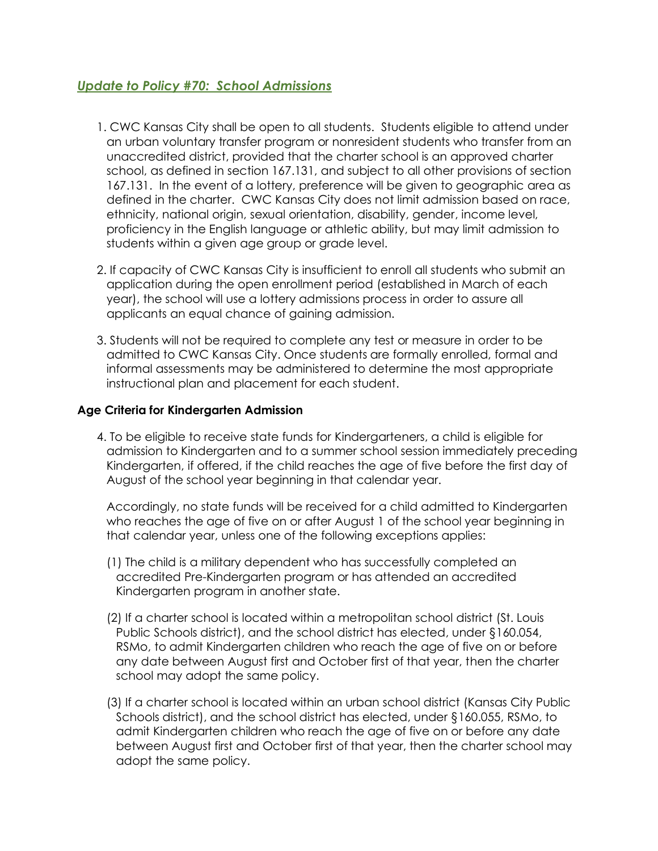## *Update to Policy #70: School Admissions*

- 1. CWC Kansas City shall be open to all students. Students eligible to attend under an urban voluntary transfer program or nonresident students who transfer from an unaccredited district, provided that the charter school is an approved charter school, as defined in section 167.131, and subject to all other provisions of section 167.131. In the event of a lottery, preference will be given to geographic area as defined in the charter. CWC Kansas City does not limit admission based on race, ethnicity, national origin, sexual orientation, disability, gender, income level, proficiency in the English language or athletic ability, but may limit admission to students within a given age group or grade level.
- 2. If capacity of CWC Kansas City is insufficient to enroll all students who submit an application during the open enrollment period (established in March of each year), the school will use a lottery admissions process in order to assure all applicants an equal chance of gaining admission.
- 3. Students will not be required to complete any test or measure in order to be admitted to CWC Kansas City. Once students are formally enrolled, formal and informal assessments may be administered to determine the most appropriate instructional plan and placement for each student.

## **Age Criteria for Kindergarten Admission**

4. To be eligible to receive state funds for Kindergarteners, a child is eligible for admission to Kindergarten and to a summer school session immediately preceding Kindergarten, if offered, if the child reaches the age of five before the first day of August of the school year beginning in that calendar year.

Accordingly, no state funds will be received for a child admitted to Kindergarten who reaches the age of five on or after August 1 of the school year beginning in that calendar year, unless one of the following exceptions applies:

- (1) The child is a military dependent who has successfully completed an accredited Pre-Kindergarten program or has attended an accredited Kindergarten program in another state.
- (2) If a charter school is located within a metropolitan school district (St. Louis Public Schools district), and the school district has elected, under §160.054, RSMo, to admit Kindergarten children who reach the age of five on or before any date between August first and October first of that year, then the charter school may adopt the same policy.
- (3) If a charter school is located within an urban school district (Kansas City Public Schools district), and the school district has elected, under §160.055, RSMo, to admit Kindergarten children who reach the age of five on or before any date between August first and October first of that year, then the charter school may adopt the same policy.